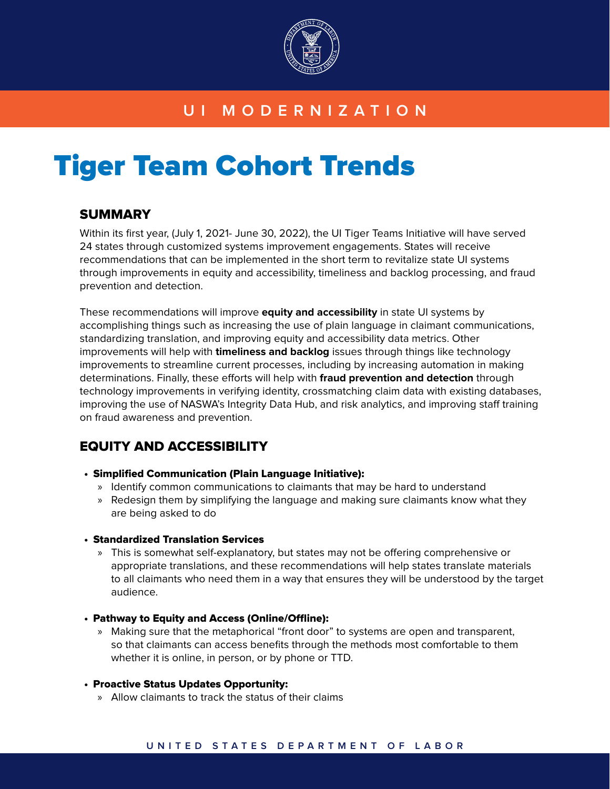

# **UI MODERNIZATION**

# Tiger Team Cohort Trends

# **SUMMARY**

Within its first year, (July 1, 2021- June 30, 2022), the UI Tiger Teams Initiative will have served 24 states through customized systems improvement engagements. States will receive recommendations that can be implemented in the short term to revitalize state UI systems through improvements in equity and accessibility, timeliness and backlog processing, and fraud prevention and detection.

These recommendations will improve **equity and accessibility** in state UI systems by accomplishing things such as increasing the use of plain language in claimant communications, standardizing translation, and improving equity and accessibility data metrics. Other improvements will help with **timeliness and backlog** issues through things like technology improvements to streamline current processes, including by increasing automation in making determinations. Finally, these efforts will help with **fraud prevention and detection** through technology improvements in verifying identity, crossmatching claim data with existing databases, improving the use of NASWA's Integrity Data Hub, and risk analytics, and improving staff training on fraud awareness and prevention.

# EQUITY AND ACCESSIBILITY

- Simplified Communication (Plain Language Initiative):
	- » Identify common communications to claimants that may be hard to understand
	- » Redesign them by simplifying the language and making sure claimants know what they are being asked to do

# • Standardized Translation Services

- » This is somewhat self-explanatory, but states may not be offering comprehensive or appropriate translations, and these recommendations will help states translate materials to all claimants who need them in a way that ensures they will be understood by the target audience.
- Pathway to Equity and Access (Online/Offline):
	- » Making sure that the metaphorical "front door" to systems are open and transparent, so that claimants can access benefits through the methods most comfortable to them whether it is online, in person, or by phone or TTD.

# • Proactive Status Updates Opportunity:

» Allow claimants to track the status of their claims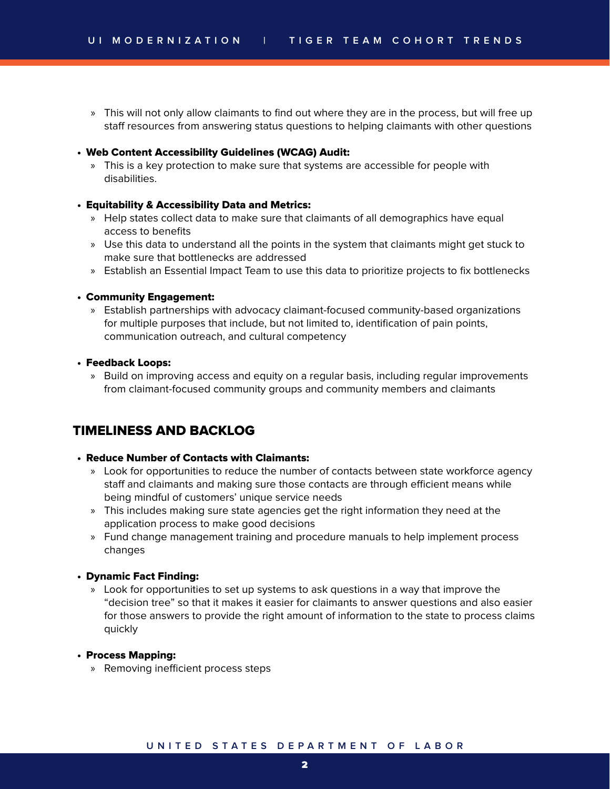» This will not only allow claimants to find out where they are in the process, but will free up staff resources from answering status questions to helping claimants with other questions

#### • Web Content Accessibility Guidelines (WCAG) Audit:

» This is a key protection to make sure that systems are accessible for people with disabilities.

#### • Equitability & Accessibility Data and Metrics:

- » Help states collect data to make sure that claimants of all demographics have equal access to benefits
- » Use this data to understand all the points in the system that claimants might get stuck to make sure that bottlenecks are addressed
- » Establish an Essential Impact Team to use this data to prioritize projects to fix bottlenecks

#### • Community Engagement:

» Establish partnerships with advocacy claimant-focused community-based organizations for multiple purposes that include, but not limited to, identification of pain points, communication outreach, and cultural competency

#### • Feedback Loops:

» Build on improving access and equity on a regular basis, including regular improvements from claimant-focused community groups and community members and claimants

# TIMELINESS AND BACKLOG

#### • Reduce Number of Contacts with Claimants:

- » Look for opportunities to reduce the number of contacts between state workforce agency staff and claimants and making sure those contacts are through efficient means while being mindful of customers' unique service needs
- » This includes making sure state agencies get the right information they need at the application process to make good decisions
- » Fund change management training and procedure manuals to help implement process changes

#### • Dynamic Fact Finding:

» Look for opportunities to set up systems to ask questions in a way that improve the "decision tree" so that it makes it easier for claimants to answer questions and also easier for those answers to provide the right amount of information to the state to process claims quickly

#### • Process Mapping:

» Removing inefficient process steps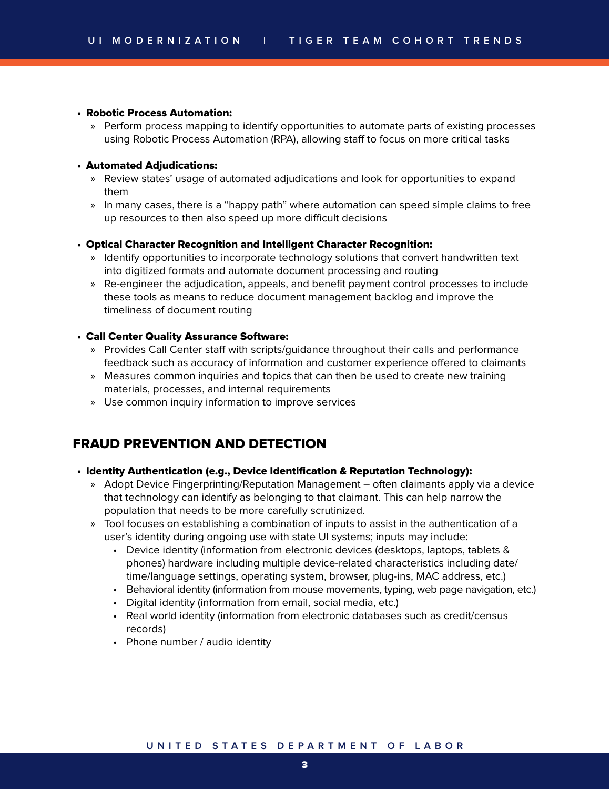#### • Robotic Process Automation:

» Perform process mapping to identify opportunities to automate parts of existing processes using Robotic Process Automation (RPA), allowing staff to focus on more critical tasks

#### • Automated Adjudications:

- » Review states' usage of automated adjudications and look for opportunities to expand them
- » In many cases, there is a "happy path" where automation can speed simple claims to free up resources to then also speed up more difficult decisions

#### • Optical Character Recognition and Intelligent Character Recognition:

- » Identify opportunities to incorporate technology solutions that convert handwritten text into digitized formats and automate document processing and routing
- » Re-engineer the adjudication, appeals, and benefit payment control processes to include these tools as means to reduce document management backlog and improve the timeliness of document routing

#### • Call Center Quality Assurance Software:

- » Provides Call Center staff with scripts/guidance throughout their calls and performance feedback such as accuracy of information and customer experience offered to claimants
- » Measures common inquiries and topics that can then be used to create new training materials, processes, and internal requirements
- » Use common inquiry information to improve services

# FRAUD PREVENTION AND DETECTION

#### • Identity Authentication (e.g., Device Identification & Reputation Technology):

- » Adopt Device Fingerprinting/Reputation Management often claimants apply via a device that technology can identify as belonging to that claimant. This can help narrow the population that needs to be more carefully scrutinized.
- » Tool focuses on establishing a combination of inputs to assist in the authentication of a user's identity during ongoing use with state UI systems; inputs may include:
	- Device identity (information from electronic devices (desktops, laptops, tablets & phones) hardware including multiple device-related characteristics including date/ time/language settings, operating system, browser, plug-ins, MAC address, etc.)
	- Behavioral identity (information from mouse movements, typing, web page navigation, etc.)
	- Digital identity (information from email, social media, etc.)
	- Real world identity (information from electronic databases such as credit/census records)
	- Phone number / audio identity

## **UNITED STATES DEPARTMENT OF LABOR**